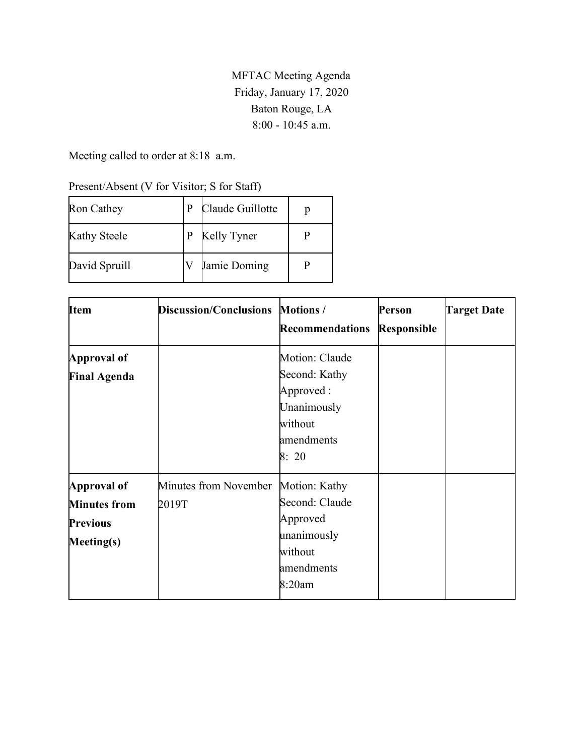MFTAC Meeting Agenda Friday, January 17, 2020 Baton Rouge, LA 8:00 - 10:45 a.m.

Meeting called to order at 8:18 a.m.

| Present/Absent (V for Visitor; S for Staff) |  |  |  |  |
|---------------------------------------------|--|--|--|--|
|                                             |  |  |  |  |

| Ron Cathey          |   | Claude Guillotte |  |
|---------------------|---|------------------|--|
| <b>Kathy Steele</b> | P | Kelly Tyner      |  |
| David Spruill       |   | Jamie Doming     |  |

| <b>Item</b>         | <b>Discussion/Conclusions</b> | <b>Motions</b> /       | Person             | <b>Target Date</b> |
|---------------------|-------------------------------|------------------------|--------------------|--------------------|
|                     |                               | <b>Recommendations</b> | <b>Responsible</b> |                    |
| Approval of         |                               | Motion: Claude         |                    |                    |
| <b>Final Agenda</b> |                               | Second: Kathy          |                    |                    |
|                     |                               | Approved:              |                    |                    |
|                     |                               | Unanimously            |                    |                    |
|                     |                               | without                |                    |                    |
|                     |                               | amendments             |                    |                    |
|                     |                               | 8:20                   |                    |                    |
| Approval of         | Minutes from November         | Motion: Kathy          |                    |                    |
| <b>Minutes from</b> | 2019T                         | Second: Claude         |                    |                    |
| <b>Previous</b>     |                               | Approved               |                    |                    |
| Meeting(s)          |                               | unanimously            |                    |                    |
|                     |                               | without                |                    |                    |
|                     |                               | amendments             |                    |                    |
|                     |                               | 8:20am                 |                    |                    |
|                     |                               |                        |                    |                    |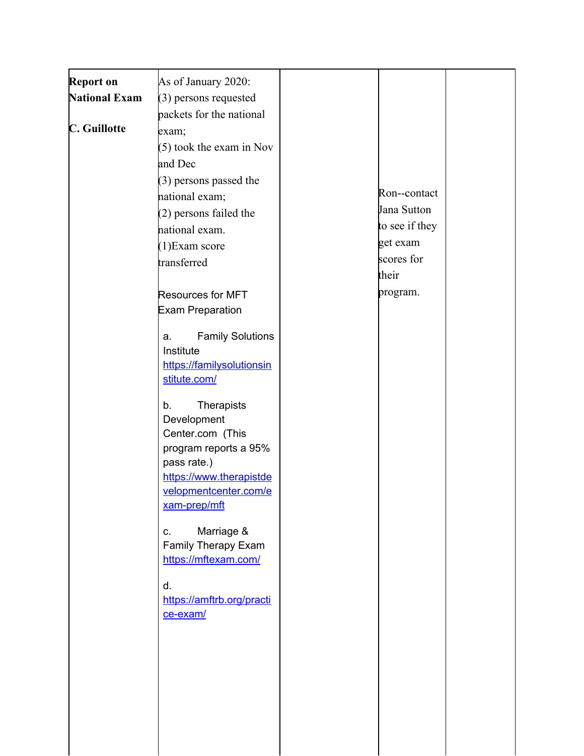| <b>Report on</b>     | As of January 2020:                       |                |  |
|----------------------|-------------------------------------------|----------------|--|
| <b>National Exam</b> | (3) persons requested                     |                |  |
|                      | packets for the national                  |                |  |
| C. Guillotte         | exam;                                     |                |  |
|                      |                                           |                |  |
|                      | (5) took the exam in Nov                  |                |  |
|                      | and Dec                                   |                |  |
|                      | (3) persons passed the                    | Ron--contact   |  |
|                      | national exam;                            |                |  |
|                      | (2) persons failed the                    | Jana Sutton    |  |
|                      | national exam.                            | to see if they |  |
|                      | (1) Exam score                            | get exam       |  |
|                      | transferred                               | scores for     |  |
|                      |                                           | their          |  |
|                      | <b>Resources for MFT</b>                  | program.       |  |
|                      | <b>Exam Preparation</b>                   |                |  |
|                      |                                           |                |  |
|                      | <b>Family Solutions</b><br>a.             |                |  |
|                      | Institute                                 |                |  |
|                      | https://familysolutionsin<br>stitute.com/ |                |  |
|                      |                                           |                |  |
|                      | b.<br><b>Therapists</b>                   |                |  |
|                      | Development                               |                |  |
|                      | Center.com (This                          |                |  |
|                      | program reports a 95%                     |                |  |
|                      | pass rate.)                               |                |  |
|                      | https://www.therapistde                   |                |  |
|                      | velopmentcenter.com/e                     |                |  |
|                      | xam-prep/mft                              |                |  |
|                      | Marriage &<br>C.                          |                |  |
|                      | Family Therapy Exam                       |                |  |
|                      | https://mftexam.com/                      |                |  |
|                      |                                           |                |  |
|                      | d.                                        |                |  |
|                      | https://amftrb.org/practi<br>ce-exam/     |                |  |
|                      |                                           |                |  |
|                      |                                           |                |  |
|                      |                                           |                |  |
|                      |                                           |                |  |
|                      |                                           |                |  |
|                      |                                           |                |  |
|                      |                                           |                |  |
|                      |                                           |                |  |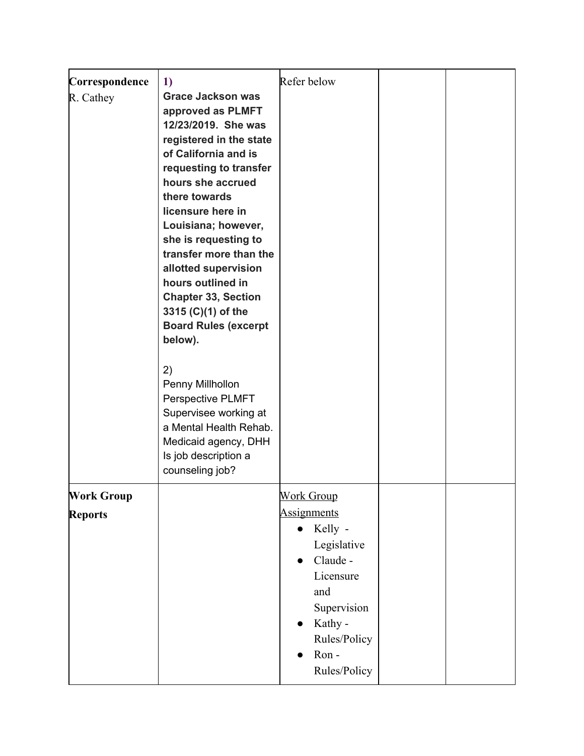| Correspondence<br>R. Cathey         | 1)<br><b>Grace Jackson was</b><br>approved as PLMFT<br>12/23/2019. She was<br>registered in the state<br>of California and is<br>requesting to transfer<br>hours she accrued<br>there towards<br>licensure here in<br>Louisiana; however,<br>she is requesting to<br>transfer more than the<br>allotted supervision<br>hours outlined in<br><b>Chapter 33, Section</b><br>3315 (C)(1) of the<br><b>Board Rules (excerpt</b><br>below). | Refer below                                                                                                                                                                                                             |  |
|-------------------------------------|----------------------------------------------------------------------------------------------------------------------------------------------------------------------------------------------------------------------------------------------------------------------------------------------------------------------------------------------------------------------------------------------------------------------------------------|-------------------------------------------------------------------------------------------------------------------------------------------------------------------------------------------------------------------------|--|
|                                     | 2)<br>Penny Millhollon<br>Perspective PLMFT<br>Supervisee working at<br>a Mental Health Rehab.<br>Medicaid agency, DHH<br>Is job description a<br>counseling job?                                                                                                                                                                                                                                                                      |                                                                                                                                                                                                                         |  |
| <b>Work Group</b><br><b>Reports</b> |                                                                                                                                                                                                                                                                                                                                                                                                                                        | <b>Work Group</b><br><b>Assignments</b><br>Kelly -<br>$\bullet$<br>Legislative<br>Claude -<br>$\bullet$<br>Licensure<br>and<br>Supervision<br>Kathy -<br>$\bullet$<br>Rules/Policy<br>Ron-<br>$\bullet$<br>Rules/Policy |  |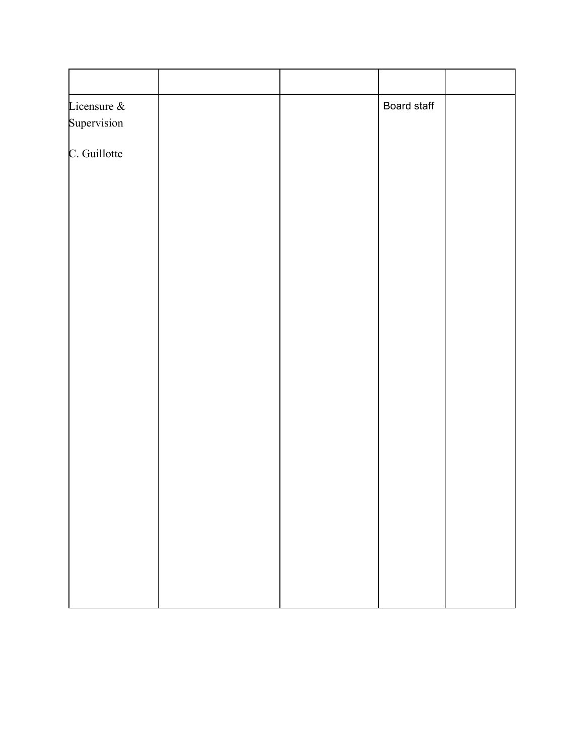| Licensure &  |  | Board staff |  |
|--------------|--|-------------|--|
| Supervision  |  |             |  |
| C. Guillotte |  |             |  |
|              |  |             |  |
|              |  |             |  |
|              |  |             |  |
|              |  |             |  |
|              |  |             |  |
|              |  |             |  |
|              |  |             |  |
|              |  |             |  |
|              |  |             |  |
|              |  |             |  |
|              |  |             |  |
|              |  |             |  |
|              |  |             |  |
|              |  |             |  |
|              |  |             |  |
|              |  |             |  |
|              |  |             |  |
|              |  |             |  |
|              |  |             |  |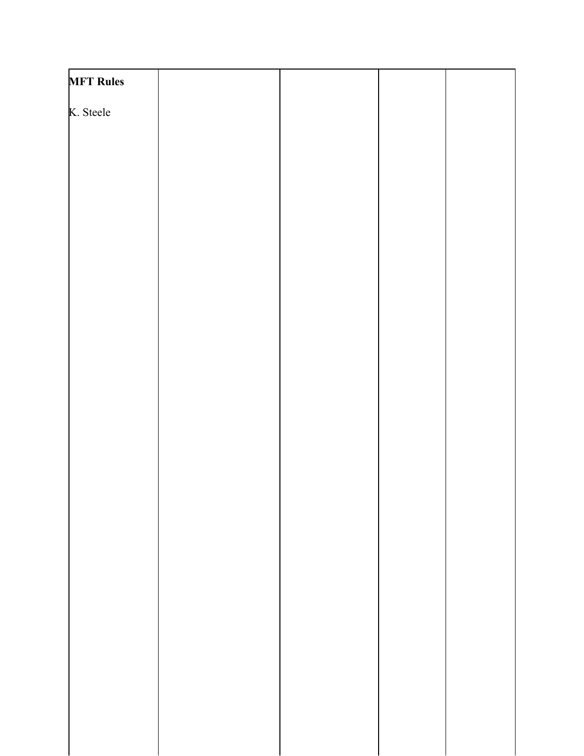| <b>MFT Rules</b> |  |  |
|------------------|--|--|
| K. Steele        |  |  |
|                  |  |  |
|                  |  |  |
|                  |  |  |
|                  |  |  |
|                  |  |  |
|                  |  |  |
|                  |  |  |
|                  |  |  |
|                  |  |  |
|                  |  |  |
|                  |  |  |
|                  |  |  |
|                  |  |  |
|                  |  |  |
|                  |  |  |
|                  |  |  |
|                  |  |  |
|                  |  |  |
|                  |  |  |
|                  |  |  |
|                  |  |  |
|                  |  |  |
|                  |  |  |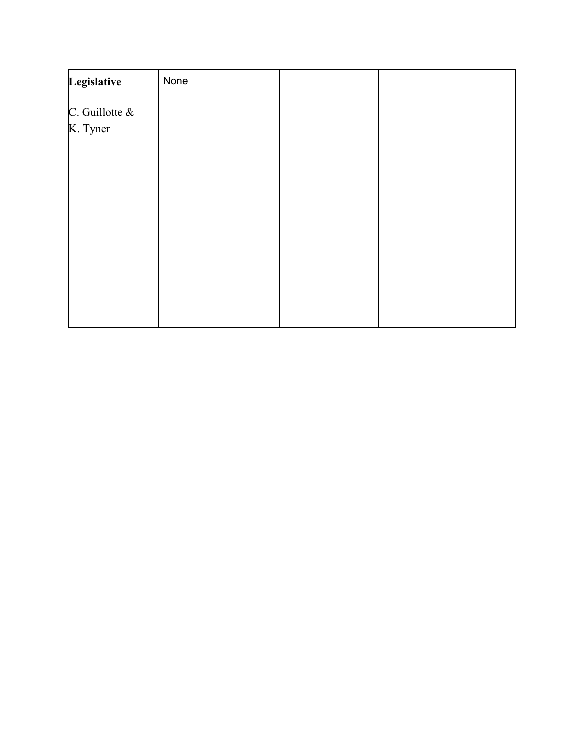| Legislative                | None |  |  |
|----------------------------|------|--|--|
| C. Guillotte &<br>K. Tyner |      |  |  |
|                            |      |  |  |
|                            |      |  |  |
|                            |      |  |  |
|                            |      |  |  |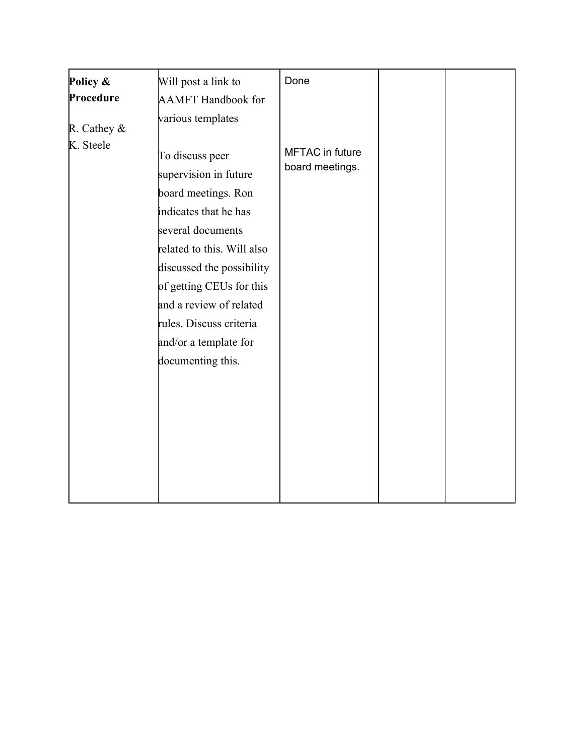| Policy &    | Will post a link to                                                                                                                                                                                                                                                                                      | Done                                      |  |
|-------------|----------------------------------------------------------------------------------------------------------------------------------------------------------------------------------------------------------------------------------------------------------------------------------------------------------|-------------------------------------------|--|
| Procedure   | <b>AAMFT</b> Handbook for                                                                                                                                                                                                                                                                                |                                           |  |
| R. Cathey & | various templates                                                                                                                                                                                                                                                                                        |                                           |  |
| K. Steele   | To discuss peer<br>supervision in future<br>board meetings. Ron<br>indicates that he has<br>several documents<br>related to this. Will also<br>discussed the possibility<br>of getting CEUs for this<br>and a review of related<br>rules. Discuss criteria<br>and/or a template for<br>documenting this. | <b>MFTAC</b> in future<br>board meetings. |  |
|             |                                                                                                                                                                                                                                                                                                          |                                           |  |
|             |                                                                                                                                                                                                                                                                                                          |                                           |  |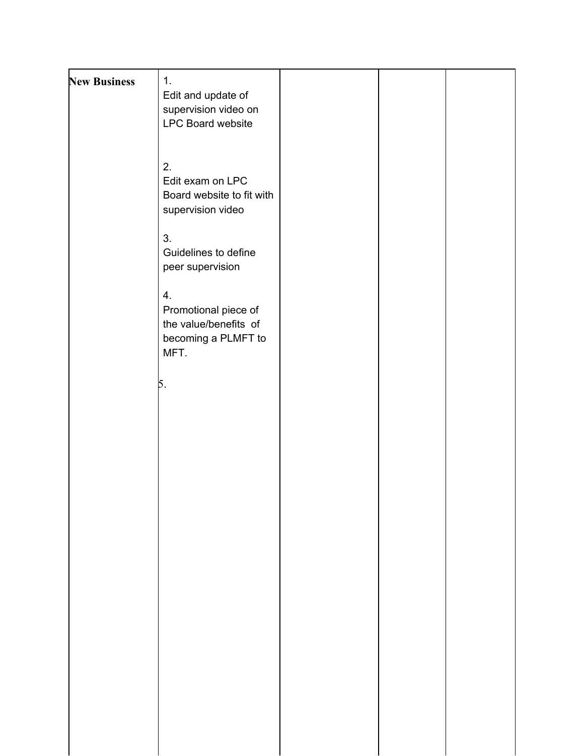| <b>New Business</b> | 1.<br>Edit and update of<br>supervision video on<br>LPC Board website              |  |  |
|---------------------|------------------------------------------------------------------------------------|--|--|
|                     | 2.<br>Edit exam on LPC<br>Board website to fit with<br>supervision video           |  |  |
|                     | 3.<br>Guidelines to define<br>peer supervision                                     |  |  |
|                     | 4.<br>Promotional piece of<br>the value/benefits of<br>becoming a PLMFT to<br>MFT. |  |  |
|                     | 5.                                                                                 |  |  |
|                     |                                                                                    |  |  |
|                     |                                                                                    |  |  |
|                     |                                                                                    |  |  |
|                     |                                                                                    |  |  |
|                     |                                                                                    |  |  |
|                     |                                                                                    |  |  |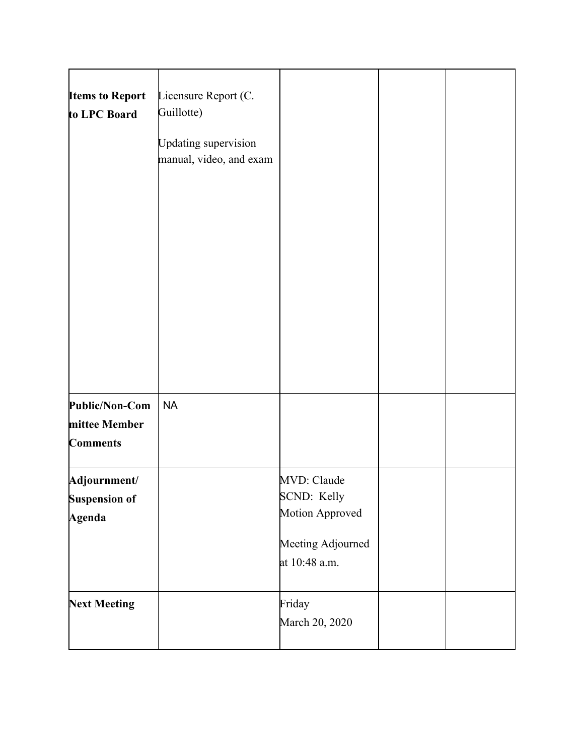| <b>Items to Report</b><br>to LPC Board             | Licensure Report (C.<br>Guillotte)<br><b>Updating supervision</b><br>manual, video, and exam |                                                                                     |  |
|----------------------------------------------------|----------------------------------------------------------------------------------------------|-------------------------------------------------------------------------------------|--|
| Public/Non-Com<br>mittee Member<br><b>Comments</b> | <b>NA</b>                                                                                    |                                                                                     |  |
| Adjournment/<br><b>Suspension of</b><br>Agenda     |                                                                                              | MVD: Claude<br>SCND: Kelly<br>Motion Approved<br>Meeting Adjourned<br>at 10:48 a.m. |  |
| <b>Next Meeting</b>                                |                                                                                              | Friday<br>March 20, 2020                                                            |  |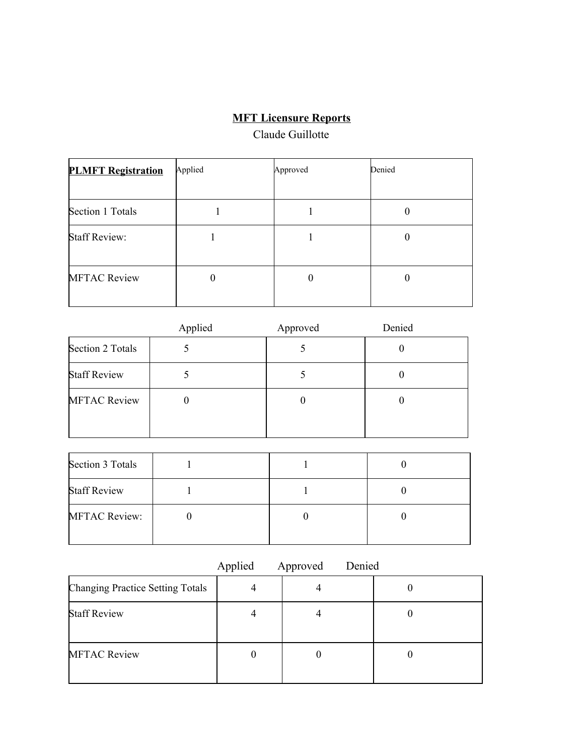## **MFT Licensure Reports**

## Claude Guillotte

| <b>PLMFT Registration</b> | Applied | Approved | Denied   |
|---------------------------|---------|----------|----------|
| Section 1 Totals          |         |          |          |
| <b>Staff Review:</b>      |         |          | $\theta$ |
| <b>MFTAC Review</b>       |         |          |          |

|                     | Applied | Approved | Denied |
|---------------------|---------|----------|--------|
| Section 2 Totals    |         |          |        |
| <b>Staff Review</b> |         |          |        |
| <b>MFTAC Review</b> | U       |          | υ      |

| Section 3 Totals     |  |  |
|----------------------|--|--|
| <b>Staff Review</b>  |  |  |
| <b>MFTAC Review:</b> |  |  |

|                                         | Applied | Approved | Denied |
|-----------------------------------------|---------|----------|--------|
| <b>Changing Practice Setting Totals</b> | 4       |          |        |
| <b>Staff Review</b>                     | 4       |          |        |
| <b>MFTAC Review</b>                     |         |          |        |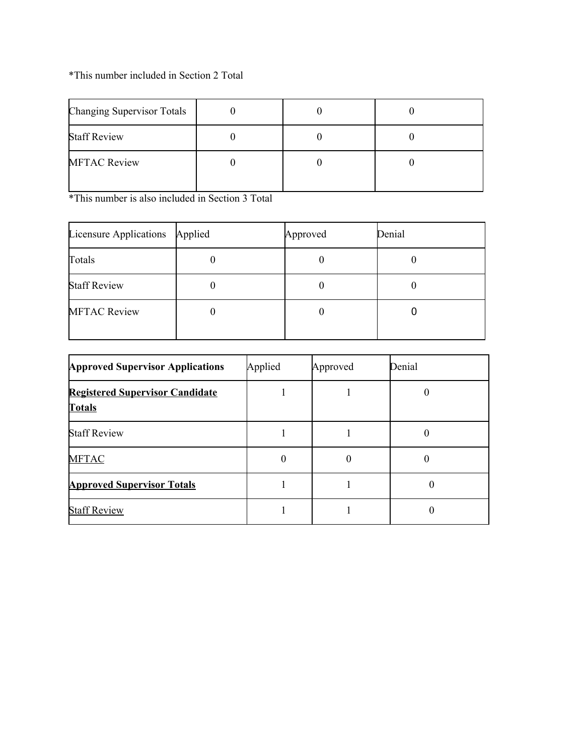## \*This number included in Section 2 Total

| <b>Changing Supervisor Totals</b> |  |  |
|-----------------------------------|--|--|
| <b>Staff Review</b>               |  |  |
| <b>MFTAC Review</b>               |  |  |

\*This number is also included in Section 3 Total

| Licensure Applications | Applied | Approved | Denial |
|------------------------|---------|----------|--------|
| Totals                 |         |          |        |
| <b>Staff Review</b>    |         |          |        |
| <b>MFTAC Review</b>    |         |          |        |

| <b>Approved Supervisor Applications</b>                 | Applied | Approved | Denial |
|---------------------------------------------------------|---------|----------|--------|
| <b>Registered Supervisor Candidate</b><br><b>Totals</b> |         |          |        |
| <b>Staff Review</b>                                     |         |          |        |
| <b>MFTAC</b>                                            | 0       | 0        |        |
| <b>Approved Supervisor Totals</b>                       |         |          | 0      |
| <b>Staff Review</b>                                     |         |          |        |